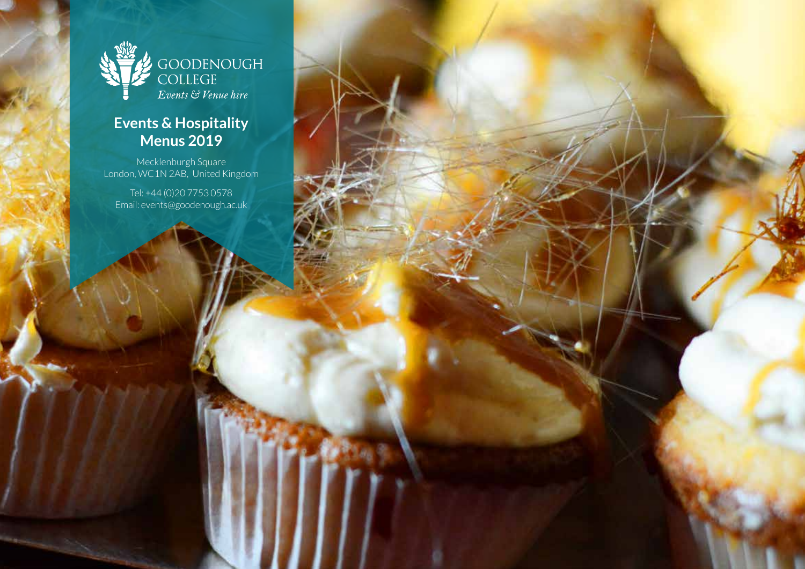

### **Events & Hospitality Menus 2019**

Mecklenburgh Square London, WC1N 2AB, United Kingdom

Tel: +44 (0)20 7753 0578 Email: events@goodenough.ac.uk

Tel: +(0)20 7753 0578 Email: events@goodenough.ac.uk

1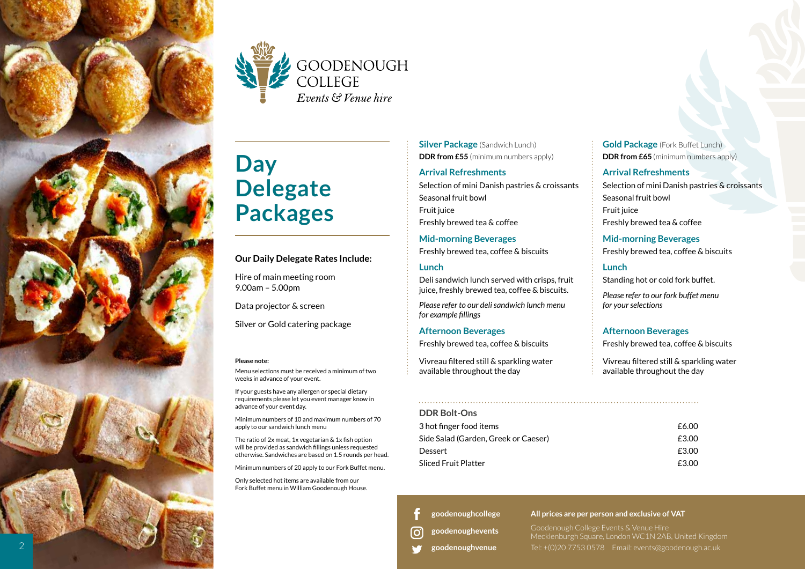



# **Day Delegate Packages**

### **Our Daily Delegate Rates Include:**

Hire of main meeting room 9.00am – 5.00pm

Data projector & screen

Silver or Gold catering package

#### **Please note:**

Menu selections must be received a minimum of two weeks in advance of your event.

If your guests have any allergen or special dietary requirements please let you event manager know in advance of your event day.

Minimum numbers of 10 and maximum numbers of 70 apply to our sandwich lunch menu

The ratio of 2x meat, 1x vegetarian & 1x fish option will be provided as sandwich fillings unless requested otherwise. Sandwiches are based on 1.5 rounds per head.

Minimum numbers of 20 apply to our Fork Buffet menu.

Only selected hot items are available from our Fork Buffet menu in William Goodenough House.

**Silver Package** (Sandwich Lunch) **DDR from £55** (minimum numbers apply)

### **Arrival Refreshments**

Selection of mini Danish pastries & croissants Seasonal fruit bowl Fruit juice Freshly brewed tea & coffee

**Mid-morning Beverages**  Freshly brewed tea, coffee & biscuits

### **Lunch**

Deli sandwich lunch served with crisps, fruit juice, freshly brewed tea, coffee & biscuits.

*Please refer to our deli sandwich lunch menu for example fillings* 

### **Afternoon Beverages**

Freshly brewed tea, coffee & biscuits

Vivreau filtered still & sparkling water available throughout the day

### **DDR Bolt-Ons**

| נווט טוטש                            |       |
|--------------------------------------|-------|
| 3 hot finger food items              | £6.00 |
| Side Salad (Garden, Greek or Caeser) | £3.00 |
| Dessert                              | £3.00 |
| Sliced Fruit Platter                 | £3.00 |
|                                      |       |

**[goodenoughcollege](https://www.facebook.com/goodenoughcollege/)**

**[goodenoughevents](https://www.instagram.com/goodenoughevents/)**

**[goodenoughvenue](https://twitter.com/goodenoughvenue)**

l Oʻ

**Gold Package** (Fork Buffet Lunch) **DDR from £65** (minimum numbers apply)

### **Arrival Refreshments**

Selection of mini Danish pastries & croissants Seasonal fruit bowl Fruit juice Freshly brewed tea & coffee

**Mid-morning Beverages**  Freshly brewed tea, coffee & biscuits

### **Lunch**

Standing hot or cold fork buffet.

*Please refer to our fork buffet menu for your selections*

### **Afternoon Beverages**

Freshly brewed tea, coffee & biscuits

Vivreau filtered still & sparkling water available throughout the day

Goodenough College Events & Venue Hire Mecklenburgh Square, London WC1N 2AB, United Kingdom 2 Tel: +(0)20 7753 0578 Email: events@goodenough.ac.uk

**All prices are per person and exclusive of VAT**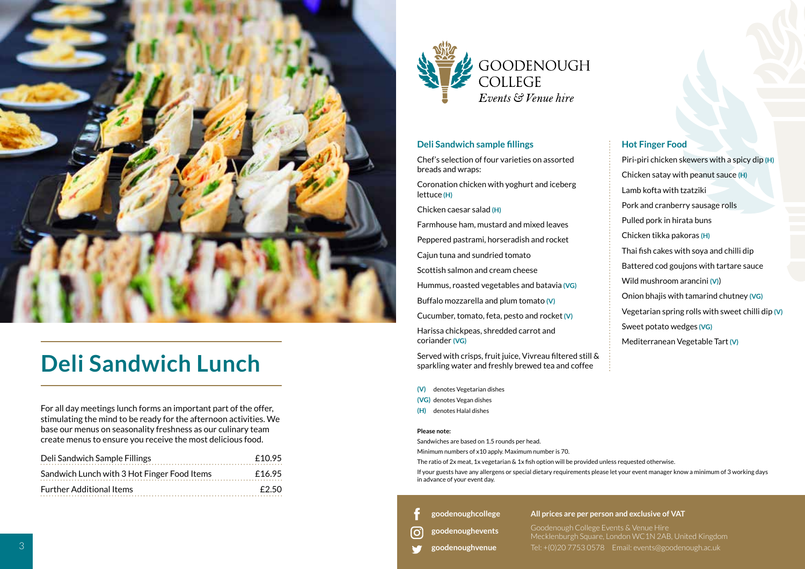

# **Deli Sandwich Lunch**

For all day meetings lunch forms an important part of the offer, stimulating the mind to be ready for the afternoon activities. We base our menus on seasonality freshness as our culinary team create menus to ensure you receive the most delicious food.

| Deli Sandwich Sample Fillings               | £10.95 |
|---------------------------------------------|--------|
| Sandwich Lunch with 3 Hot Finger Food Items | £16.95 |
| <b>Further Additional Items</b>             | £2.50  |



### **Deli Sandwich sample fillings**

Chef's selection of four varieties on assorted breads and wraps:

Coronation chicken with yoghurt and iceberg lettuce **(H)**

Chicken caesar salad **(H)**

Farmhouse ham, mustard and mixed leaves

Peppered pastrami, horseradish and rocket

Cajun tuna and sundried tomato

Scottish salmon and cream cheese

Hummus, roasted vegetables and batavia **(VG)**

Buffalo mozzarella and plum tomato **(V)**

Cucumber, tomato, feta, pesto and rocket **(V)**

Harissa chickpeas, shredded carrot and coriander **(VG)**

Served with crisps, fruit juice, Vivreau filtered still & sparkling water and freshly brewed tea and coffee

- **(V)** denotes Vegetarian dishes
- **(VG)** denotes Vegan dishes
- **(H)** denotes Halal dishes

### **Please note:**

Sandwiches are based on 1.5 rounds per head.

Minimum numbers of x10 apply. Maximum number is 70.

The ratio of 2x meat, 1x vegetarian & 1x fish option will be provided unless requested otherwise.

If your guests have any allergens or special dietary requirements please let your event manager know a minimum of 3 working days in advance of your event day.

**[goodenoughcollege](https://www.facebook.com/goodenoughcollege/)**

### **All prices are per person and exclusive of VAT**

**[goodenoughevents](https://www.instagram.com/goodenoughevents/)** ſo

Goodenough College Events & Venue Hire Mecklenburgh Square, London WC1N 2AB, United Kingdom

**[goodenoughvenue](https://twitter.com/goodenoughvenue)**

Tel: +(0)20 7753 0578 Email: events@goodenough.ac.uk

### **Hot Finger Food**

Piri-piri chicken skewers with a spicy dip **(H)** Chicken satay with peanut sauce **(H)** Lamb kofta with tzatziki Pork and cranberry sausage rolls Pulled pork in hirata buns Chicken tikka pakoras **(H)** Thai fish cakes with soya and chilli dip Battered cod goujons with tartare sauce Wild mushroom arancini **(V)**) Onion bhajis with tamarind chutney **(VG)** Vegetarian spring rolls with sweet chilli dip **(V)** Sweet potato wedges **(VG)** Mediterranean Vegetable Tart **(V)**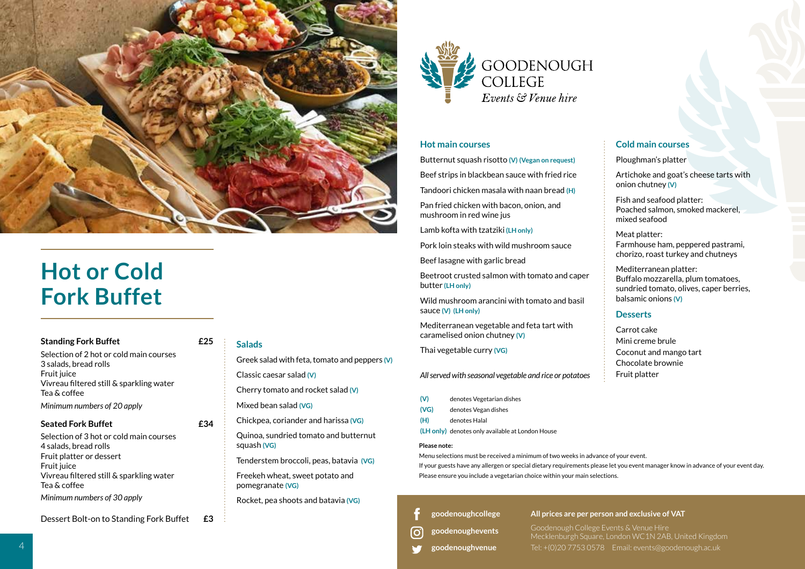

# **Hot or Cold Fork Buffet**

### **Standing Fork Buffet £25**

Selection of 2 hot or cold main courses 3 salads, bread rolls Fruit juice Vivreau filtered still & sparkling water Tea & coffee *Minimum numbers of 20 apply* 

### **Seated Fork Buffet** <br>**E34**

Selection of 3 hot or cold main courses 4 salads, bread rolls Fruit platter or dessert Fruit juice Vivreau filtered still & sparkling water Tea & coffee *Minimum numbers of 30 apply* 

Dessert Bolt-on to Standing Fork Buffet **£3**

### **Salads**

Greek salad with feta, tomato and peppers **(V)** Classic caesar salad **(V)**

Cherry tomato and rocket salad **(V)**

Mixed bean salad **(VG)**

Chickpea, coriander and harissa **(VG)**

Quinoa, sundried tomato and butternut squash **(VG)**

Tenderstem broccoli, peas, batavia **(VG)**

Freekeh wheat, sweet potato and pomegranate **(VG)**

Rocket, pea shoots and batavia **(VG)**



### **Hot main courses**

Butternut squash risotto **(V) (Vegan on request)**

Beef strips in blackbean sauce with fried rice

Tandoori chicken masala with naan bread **(H)**

Pan fried chicken with bacon, onion, and mushroom in red wine jus

Lamb kofta with tzatziki **(LH only)**

Pork loin steaks with wild mushroom sauce

Beef lasagne with garlic bread

Beetroot crusted saImon with tomato and caper butter **(LH only)**

Wild mushroom arancini with tomato and basil sauce **(V) (LH only)**

Mediterranean vegetable and feta tart with caramelised onion chutney **(V)**

Thai vegetable curry **(VG)**

*All served with seasonal vegetable and rice or potatoes*

- **(V)** denotes Vegetarian dishes
- **(VG)** denotes Vegan dishes
- **(H)** denotes Halal
- **(LH only)** denotes only available at London House

#### **Please note:**

Menu selections must be received a minimum of two weeks in advance of your event.

If your guests have any allergen or special dietary requirements please let you event manager know in advance of your event day. Please ensure you include a vegetarian choice within your main selections.

**[goodenoughcollege](https://www.facebook.com/goodenoughcollege/)**

**[goodenoughevents](https://www.instagram.com/goodenoughevents/)** o,

**[goodenoughvenue](https://twitter.com/goodenoughvenue)**

**All prices are per person and exclusive of VAT**

Goodenough College Events & Venue Hire Mecklenburgh Square, London WC1N 2AB, United Kingdom Tel: +(0)20 7753 0578 Email: events@goodenough.ac.uk

### **Cold main courses**

Ploughman's platter

Artichoke and goat's cheese tarts with onion chutney **(V)**

Fish and seafood platter: Poached salmon, smoked mackerel, mixed seafood

Meat platter: Farmhouse ham, peppered pastrami, chorizo, roast turkey and chutneys

Mediterranean platter: Buffalo mozzarella, plum tomatoes, sundried tomato, olives, caper berries, balsamic onions **(V)**

### **Desserts**

Carrot cake Mini creme brule Coconut and mango tart Chocolate brownie Fruit platter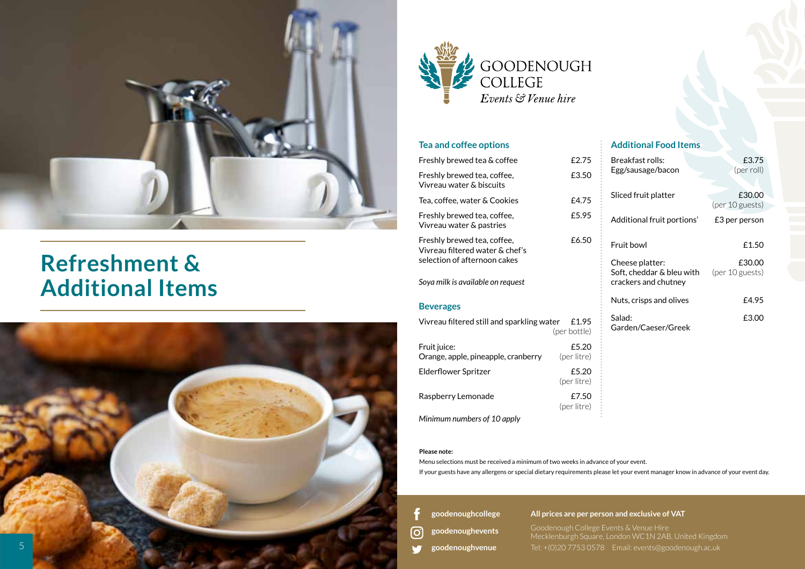

## **Refreshment & Additional Items**





### **Tea and coffee options**

| Freshly brewed tea & coffee                                                                    | £2.75                 |
|------------------------------------------------------------------------------------------------|-----------------------|
| Freshly brewed tea, coffee,<br>Vivreau water & biscuits                                        | £3.50                 |
| Tea, coffee, water & Cookies                                                                   | £4.75                 |
| Freshly brewed tea, coffee,<br>Vivreau water & pastries                                        | £5.95                 |
| Freshly brewed tea, coffee,<br>Vivreau filtered water & chef's<br>selection of afternoon cakes | £6.50                 |
| Soya milk is available on request                                                              |                       |
| <b>Beverages</b>                                                                               |                       |
| Vivreau filtered still and sparkling water                                                     | £1.95<br>(per bottle) |
| Fruit juice:<br>Orange, apple, pineapple, cranberry                                            | £5.20<br>(per litre)  |
| Elderflower Spritzer                                                                           | £5.20<br>(per litre)  |
| Raspberry Lemonade                                                                             | £7.50<br>(per litre)  |
| Minimum numbers of 10 apply                                                                    |                       |

### **Additional Food Items**

| Breakfast rolls:<br>Egg/sausage/bacon                                | £3.75<br>(per roll)       |
|----------------------------------------------------------------------|---------------------------|
| Sliced fruit platter                                                 | £30.00<br>(per 10 guests) |
| Additional fruit portions'                                           | £3 per person             |
| Fruit bowl                                                           | £1.50                     |
| Cheese platter:<br>Soft, cheddar & bleu with<br>crackers and chutney | £30.00<br>(per 10 guests) |
| Nuts, crisps and olives                                              | £4.95                     |
| Salad:<br>Garden/Caeser/Greek                                        | £3.00                     |

#### **Please note:**

Menu selections must be received a minimum of two weeks in advance of your event. If your guests have any allergens or special dietary requirements please let your event manager know in advance of your event day.

**[goodenoughcollege](https://www.facebook.com/goodenoughcollege/)**

ତି **[goodenoughevents](https://www.instagram.com/goodenoughevents/)**

فعا **[goodenoughvenue](https://twitter.com/goodenoughvenue)** **All prices are per person and exclusive of VAT**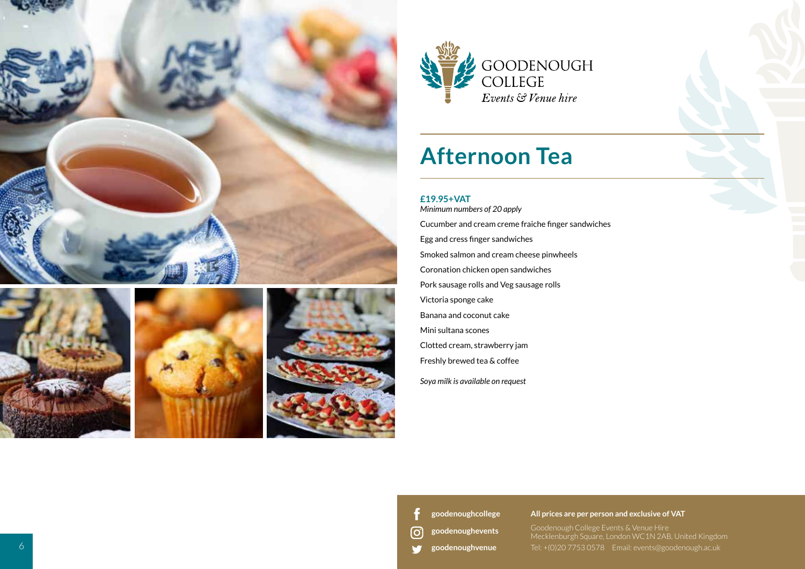









# **Afternoon Tea**

### **£19.95+VAT**

*Minimum numbers of 20 apply* Cucumber and cream creme fraiche finger sandwiches Egg and cress finger sandwiches Smoked salmon and cream cheese pinwheels Coronation chicken open sandwiches Pork sausage rolls and Veg sausage rolls Victoria sponge cake Banana and coconut cake Mini sultana scones Clotted cream, strawberry jam Freshly brewed tea & coffee *Soya milk is available on request*

**[goodenoughcollege](https://www.facebook.com/goodenoughcollege/)**

<u>ଟ</u> **[goodenoughevents](https://www.instagram.com/goodenoughevents/)**

**[goodenoughvenue](https://twitter.com/goodenoughvenue)** w

**All prices are per person and exclusive of VAT**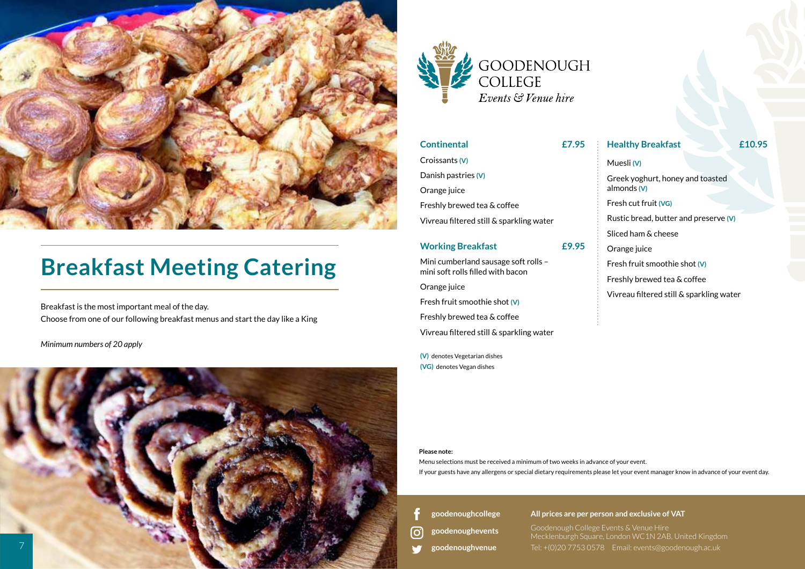

# **Breakfast Meeting Catering**

Breakfast is the most important meal of the day. Choose from one of our following breakfast menus and start the day like a King

*Minimum numbers of 20 apply*





| <b>Continental</b>                                | £7.95 | <b>Healthy Breakfast</b>                 | £10.95 |
|---------------------------------------------------|-------|------------------------------------------|--------|
| Croissants (V)                                    |       | Muesli (V)                               |        |
| Danish pastries (V)                               |       | Greek yoghurt, honey and toasted         |        |
| Orange juice                                      |       | almonds (V)                              |        |
| Freshly brewed tea & coffee                       |       | Fresh cut fruit (VG)                     |        |
| Vivreau filtered still & sparkling water          |       | Rustic bread, butter and preserve (V)    |        |
|                                                   |       | Sliced ham & cheese                      |        |
| <b>Working Breakfast</b>                          | £9.95 | Orange juice                             |        |
| Mini cumberland sausage soft rolls -              |       | Fresh fruit smoothie shot (V)            |        |
|                                                   |       | Freshly brewed tea & coffee              |        |
|                                                   |       | Vivreau filtered still & sparkling water |        |
| mini soft rolls filled with bacon<br>Orange juice |       |                                          |        |

#### **Please note:**

Menu selections must be received a minimum of two weeks in advance of your event. If your guests have any allergens or special dietary requirements please let your event manager know in advance of your event day.

**[goodenoughcollege](https://www.facebook.com/goodenoughcollege/)**

Fresh fruit smoothie shot **(V)** Freshly brewed tea & coffee

**(V)** denotes Vegetarian dishes **(VG)** denotes Vegan dishes

Vivreau filtered still & sparkling water

**[goodenoughevents](https://www.instagram.com/goodenoughevents/)** ြ

**[goodenoughvenue](https://twitter.com/goodenoughvenue)**

**All prices are per person and exclusive of VAT**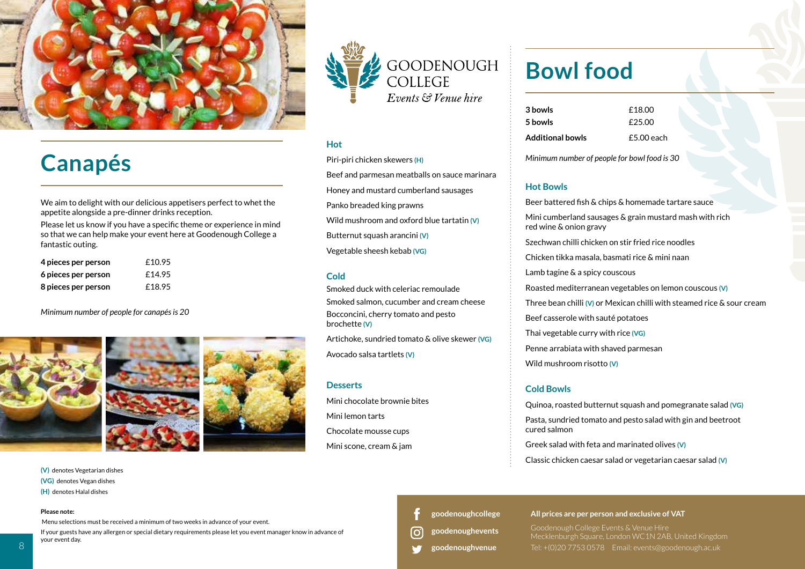

## **Canapés**

We aim to delight with our delicious appetisers perfect to whet the appetite alongside a pre-dinner drinks reception.

Please let us know if you have a specific theme or experience in mind so that we can help make your event here at Goodenough College a fantastic outing.

| 4 pieces per person | £10.95 |
|---------------------|--------|
| 6 pieces per person | £14.95 |
| 8 pieces per person | £18.95 |

#### *Minimum number of people for canapés is 20*



**(V)** denotes Vegetarian dishes **(VG)** denotes Vegan dishes

**(H)** denotes Halal dishes

#### **Please note:**

Menu selections must be received a minimum of two weeks in advance of your event.

If your guests have any allergen or special dietary requirements please let you event manager know in advance of your event day.



### **Hot**

Piri-piri chicken skewers **(H)** Beef and parmesan meatballs on sauce marinara Honey and mustard cumberland sausages Panko breaded king prawns Wild mushroom and oxford blue tartatin **(V)** Butternut squash arancini **(V)** Vegetable sheesh kebab **(VG)**

### **Cold**

Smoked duck with celeriac remoulade Smoked salmon, cucumber and cream cheese Bocconcini, cherry tomato and pesto brochette **(V)**

Artichoke, sundried tomato & olive skewer **(VG)** Avocado salsa tartlets **(V)**

### **Desserts**

Mini chocolate brownie bites Mini lemon tarts Chocolate mousse cups Mini scone, cream & jam

### **Bowl food**

| 3 bowls                 | £18.00       |
|-------------------------|--------------|
| 5 bowls                 | £25.00       |
| <b>Additional bowls</b> | $£5.00$ each |

*Minimum number of people for bowl food is 30*

### **Hot Bowls**

Beer battered fish & chips & homemade tartare sauce Mini cumberland sausages & grain mustard mash with rich red wine & onion gravy Szechwan chilli chicken on stir fried rice noodles Chicken tikka masala, basmati rice & mini naan Lamb tagine & a spicy couscous Roasted mediterranean vegetables on lemon couscous **(V)** Three bean chilli **(V)** or Mexican chilli with steamed rice & sour cream Beef casserole with sauté potatoes Thai vegetable curry with rice **(VG)** Penne arrabiata with shaved parmesan Wild mushroom risotto **(V)**

### **Cold Bowls**

Quinoa, roasted butternut squash and pomegranate salad **(VG)** Pasta, sundried tomato and pesto salad with gin and beetroot cured salmon Greek salad with feta and marinated olives **(V)**

Classic chicken caesar salad or vegetarian caesar salad **(V)**

**[goodenoughcollege](https://www.facebook.com/goodenoughcollege/)**

- **[goodenoughevents](https://www.instagram.com/goodenoughevents/)** ΙO.
- **[goodenoughvenue](https://twitter.com/goodenoughvenue)**

#### **All prices are per person and exclusive of VAT**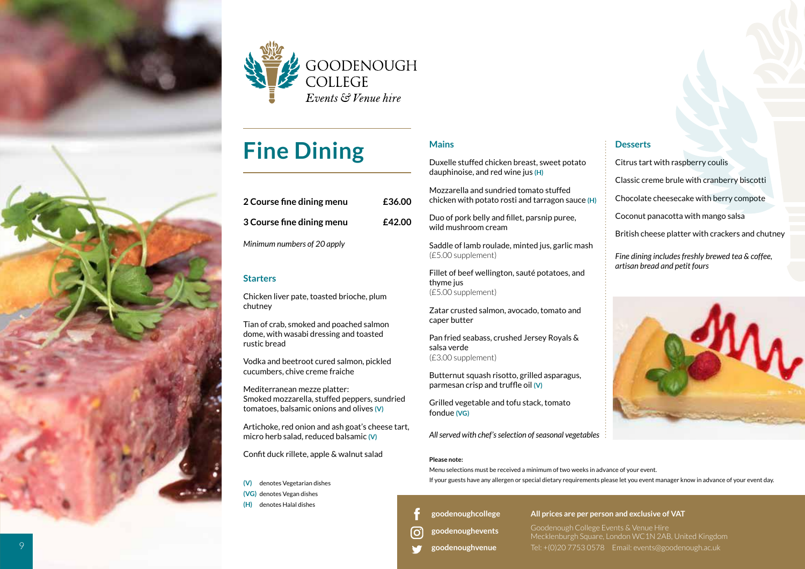



# **Fine Dining**

| 2 Course fine dining menu   | £36.00 |
|-----------------------------|--------|
| 3 Course fine dining menu   | £42.00 |
| Minimum numbers of 20 apply |        |

### **Starters**

Chicken liver pate, toasted brioche, plum chutney

Tian of crab, smoked and poached salmon dome, with wasabi dressing and toasted rustic bread

Vodka and beetroot cured salmon, pickled cucumbers, chive creme fraiche

Mediterranean mezze platter: Smoked mozzarella, stuffed peppers, sundried tomatoes, balsamic onions and olives **(V)**

Artichoke, red onion and ash goat's cheese tart, micro herb salad, reduced balsamic **(V)** 

Confit duck rillete, apple & walnut salad

**(V)** denotes Vegetarian dishes **(VG)** denotes Vegan dishes **(H)** denotes Halal dishes

### **Mains**

Duxelle stuffed chicken breast, sweet potato dauphinoise, and red wine jus **(H)**

Mozzarella and sundried tomato stuffed chicken with potato rosti and tarragon sauce **(H)**

Duo of pork belly and fillet, parsnip puree, wild mushroom cream

Saddle of lamb roulade, minted jus, garlic mash (£5.00 supplement)

Fillet of beef wellington, sauté potatoes, and thyme jus (£5.00 supplement)

Zatar crusted salmon, avocado, tomato and caper butter

Pan fried seabass, crushed Jersey Royals & salsa verde (£3.00 supplement)

Butternut squash risotto, grilled asparagus, parmesan crisp and truffle oil **(V)**

Grilled vegetable and tofu stack, tomato fondue **(VG)** 

*All served with chef's selection of seasonal vegetables*

### **Please note:**

Menu selections must be received a minimum of two weeks in advance of your event. If your guests have any allergen or special dietary requirements please let you event manager know in advance of your event day.

**[goodenoughcollege](https://www.facebook.com/goodenoughcollege/)**

**[goodenoughevents](https://www.instagram.com/goodenoughevents/)** o,

**[goodenoughvenue](https://twitter.com/goodenoughvenue)**

**All prices are per person and exclusive of VAT**

Goodenough College Events & Venue Hire Mecklenburgh Square, London WC1N 2AB, United Kingdom Tel: +(0)20 7753 0578 Email: events@goodenough.ac.uk

### **Desserts**

Citrus tart with raspberry coulis Classic creme brule with cranberry biscotti

Chocolate cheesecake with berry compote

Coconut panacotta with mango salsa

British cheese platter with crackers and chutney

*Fine dining includes freshly brewed tea & coffee, artisan bread and petit fours* 

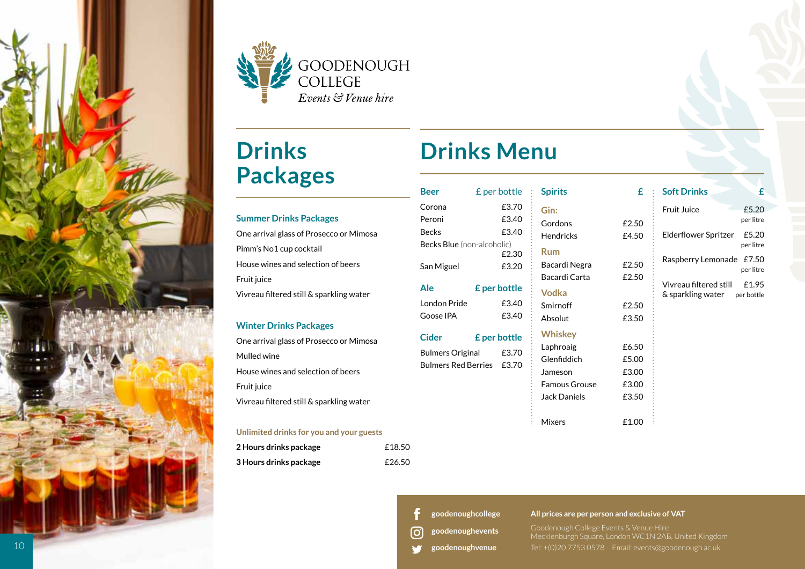



# **Drinks Packages**

### **Summer Drinks Packages**  One arrival glass of Prosecco or Mimosa Pimm's No1 cup cocktail House wines and selection of beers Fruit juice Vivreau filtered still & sparkling water

### **Winter Drinks Packages**

One arrival glass of Prosecco or Mimosa Mulled wine House wines and selection of beers Fruit juice Vivreau filtered still & sparkling water

### **Unlimited drinks for you and your guests**

| 2 Hours drinks package | £18.50 |
|------------------------|--------|
| 3 Hours drinks package | £26.50 |

# **Drinks Menu**

| <b>Beer</b>                                                                                                | £ per bottle                                                       | <b>Spirits</b>                                                                                       | £.                                        |
|------------------------------------------------------------------------------------------------------------|--------------------------------------------------------------------|------------------------------------------------------------------------------------------------------|-------------------------------------------|
| Corona<br>Peroni<br><b>Becks</b><br><b>Becks Blue</b> (non-alcoholic)<br>San Miguel<br>Ale<br>London Pride | £3.70<br>£3.40<br>£3.40<br>£2.30<br>£3.20<br>£ per bottle<br>£3.40 | Gin:<br>Gordons<br><b>Hendricks</b><br>Rum<br>Bacardi Negra<br>Bacardi Carta<br>Vodka                | £2.50<br>£4.50<br>£2.50<br>£2.50          |
| Goose IPA                                                                                                  | £3.40                                                              | Smirnoff<br>Absolut                                                                                  | £2.50<br>£3.50                            |
| Cider<br><b>Bulmers Original</b><br><b>Bulmers Red Berries</b>                                             | <b>£</b> per bottle<br>£3.70<br>£3.70                              | <b>Whiskey</b><br>Laphroaig<br>Glenfiddich<br>Jameson<br><b>Famous Grouse</b><br><b>Jack Daniels</b> | £6.50<br>£5.00<br>£3.00<br>£3.00<br>£3.50 |
|                                                                                                            |                                                                    | <b>Mixers</b>                                                                                        | £1.00                                     |

#### **£ Soft Drinks**

 $£1.00$ 

Fruit Juice £5.20 per litre Elderflower Spritzer £5.20 per litre Raspberry Lemonade £7.50 per litre Vivreau filtered still £1.95 & sparkling water per bottle

**£**

**[goodenoughcollege](https://www.facebook.com/goodenoughcollege/)**

**[goodenoughvenue](https://twitter.com/goodenoughvenue)**

**[goodenoughevents](https://www.instagram.com/goodenoughevents/)** တြ

### **All prices are per person and exclusive of VAT**

Goodenough College Events & Venue Hire Mecklenburgh Square, London WC1N 2AB, United Kingdom

Tel: +(0)20 7753 0578 Email: events@goodenough.ac.uk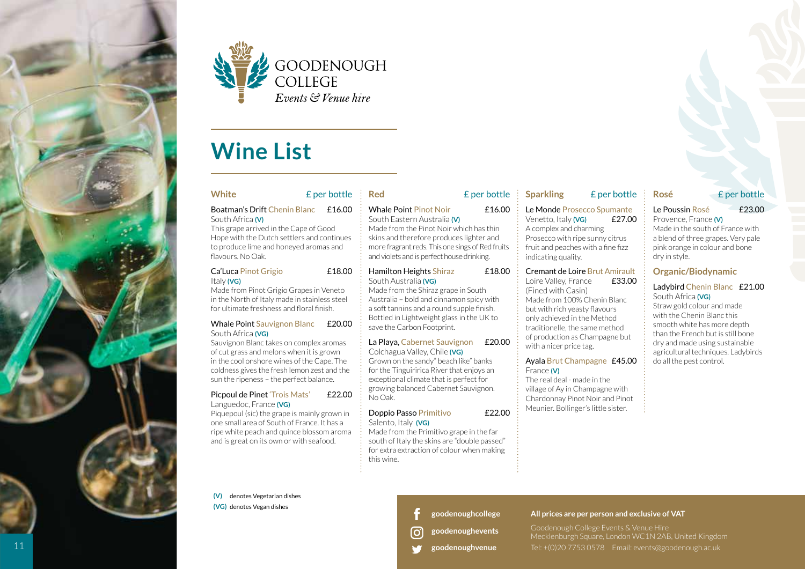



### **Wine List**

### **White** £ per bottle

### Boatman's Drift Chenin Blanc £16.00 South Africa **(V)**

This grape arrived in the Cape of Good Hope with the Dutch settlers and continues to produce lime and honeyed aromas and flavours. No Oak.

### Ca'Luca Pinot Grigio £18.00 Italy **(VG)**

Made from Pinot Grigio Grapes in Veneto in the North of Italy made in stainless steel for ultimate freshness and floral finish.

#### Whale Point Sauvignon Blanc £20.00 South Africa **(VG)**

Sauvignon Blanc takes on complex aromas of cut grass and melons when it is grown in the cool onshore wines of the Cape. The coldness gives the fresh lemon zest and the sun the ripeness – the perfect balance.

#### Picpoul de Pinet 'Trois Mats' £22.00 Languedoc, France **(VG)**

Piquepoul (sic) the grape is mainly grown in one small area of South of France. It has a ripe white peach and quince blossom aroma and is great on its own or with seafood.

**(V)** denotes Vegetarian dishes **(VG)** denotes Vegan dishes

### **Red** £ per bottle

#### Whale Point Pinot Noir **£16.00** South Eastern Australia **(V)**

Made from the Pinot Noir which has thin skins and therefore produces lighter and more fragrant reds. This one sings of Red fruits and violets and is perfect house drinking.

#### Hamilton Heights Shiraz £18.00 South Australia **(VG)**

Made from the Shiraz grape in South Australia – bold and cinnamon spicy with a soft tannins and a round supple finish. Bottled in Lightweight glass in the UK to save the Carbon Footprint.

#### La Playa, Cabernet Sauvignon £20.00 Colchagua Valley, Chile **(VG)**

Grown on the sandy" beach like" banks for the Tinguiririca River that enjoys an exceptional climate that is perfect for growing balanced Cabernet Sauvignon. No Oak.

### Doppio Passo Primitivo £22.00 Salento, Italy **(VG)**

Made from the Primitivo grape in the far south of Italy the skins are "double passed" for extra extraction of colour when making this wine.

### **Sparkling** £ per bottle

### Le Monde Prosecco Spumante

Venetto, Italy **(VG)** £27.00 A complex and charming Prosecco with ripe sunny citrus fruit and peaches with a fine fizz indicating quality.

### Cremant de Loire Brut Amirault

Loire Valley, France £33.00 (Fined with Casin) Made from 100% Chenin Blanc but with rich yeasty flavours only achieved in the Method traditionelle, the same method of production as Champagne but with a nicer price tag.

### Ayala Brut Champagne £45.00 France **(V)**

The real deal - made in the village of Ay in Champagne with Chardonnay Pinot Noir and Pinot Meunier. Bollinger's little sister.

### **Rosé** £ per bottle

### Le Poussin Rosé £23.00

#### Provence, France **(V)** Made in the south of France with

a blend of three grapes. Very pale pink orange in colour and bone dry in style.

### **Organic/Biodynamic**

### Ladybird Chenin Blanc £21.00 South Africa **(VG)**

Straw gold colour and made with the Chenin Blanc this smooth white has more depth than the French but is still bone dry and made using sustainable agricultural techniques. Ladybirds do all the pest control.

**[goodenoughcollege](https://www.facebook.com/goodenoughcollege/)**

- **[goodenoughevents](https://www.instagram.com/goodenoughevents/)** o,
- **[goodenoughvenue](https://twitter.com/goodenoughvenue)**

### **All prices are per person and exclusive of VAT**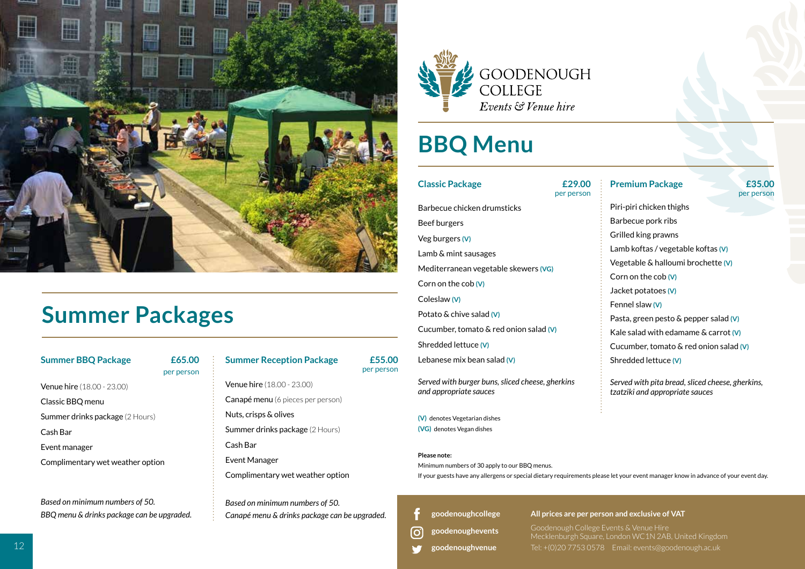

### **Summer Packages**

### **Summer BBQ Package £65.00**

Venue hire (18.00 - 23.00) Classic BBQ menu Summer drinks package (2 Hours) Cash Bar Event manager Complimentary wet weather option

*Based on minimum numbers of 50. BBQ menu & drinks package can be upgraded.*

### per person

### **Summer Reception Package £55.00**

per person

Venue hire (18.00 - 23.00) Canapé menu (6 pieces per person) Nuts, crisps & olives Summer drinks package (2 Hours) Cash Bar Event Manager

Complimentary wet weather option

*Based on minimum numbers of 50. Canapé menu & drinks package can be upgraded.* 



# **BBQ Menu**

### **Classic Package £29.00**

### Barbecue chicken drumsticks Beef burgers Veg burgers **(V)**  Lamb & mint sausages Mediterranean vegetable skewers **(VG)**  Corn on the cob **(V)**  Coleslaw **(V)** Potato & chive salad **(V)** Cucumber, tomato & red onion salad **(V)**  Shredded lettuce **(V)**  Lebanese mix bean salad **(V)**  *Served with burger buns, sliced cheese, gherkins and appropriate sauces*

**(V)** denotes Vegetarian dishes **(VG)** denotes Vegan dishes

### **Please note:**

တြ

Minimum numbers of 30 apply to our BBQ menus.

If your guests have any allergens or special dietary requirements please let your event manager know in advance of your event day.

per person

**[goodenoughcollege](https://www.facebook.com/goodenoughcollege/)**

**[goodenoughevents](https://www.instagram.com/goodenoughevents/)**

**[goodenoughvenue](https://twitter.com/goodenoughvenue)**

**All prices are per person and exclusive of VAT**

Goodenough College Events & Venue Hire Mecklenburgh Square, London WC1N 2AB, United Kingdom Tel: +(0)20 7753 0578 Email: events@goodenough.ac.uk

**Premium Package 655.00** per person

Piri-piri chicken thighs Barbecue pork ribs Grilled king prawns Lamb koftas / vegetable koftas **(V)** Vegetable & halloumi brochette **(V)** Corn on the cob **(V)** Jacket potatoes **(V)** Fennel slaw **(V)**  Pasta, green pesto & pepper salad **(V)** Kale salad with edamame & carrot **(V)** Cucumber, tomato & red onion salad **(V)** Shredded lettuce **(V)**

*Served with pita bread, sliced cheese, gherkins, tzatziki and appropriate sauces*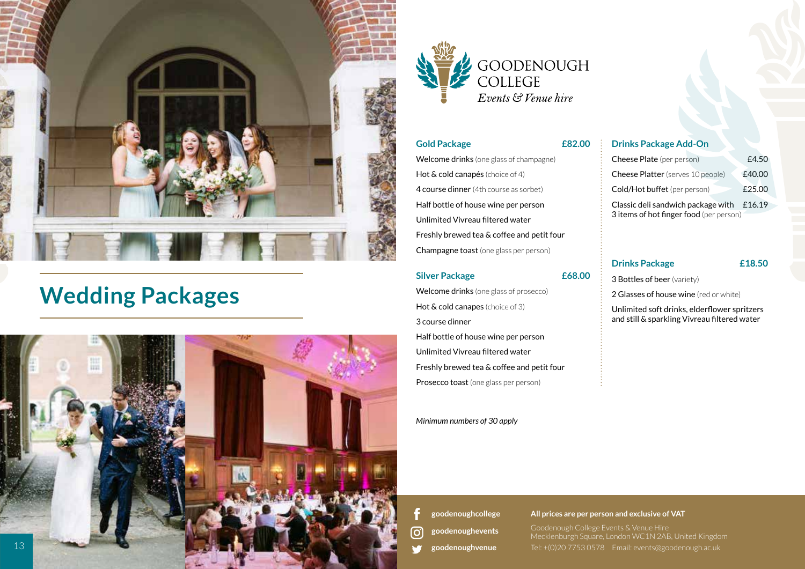

### **Wedding Packages**





### **Gold Package £82.00**

Welcome drinks (one glass of champagne) Hot & cold canapés (choice of 4) 4 course dinner (4th course as sorbet) Half bottle of house wine per person Unlimited Vivreau filtered water Freshly brewed tea & coffee and petit four Champagne toast (one glass per person)

### **Silver Package £68.00**

Welcome drinks (one glass of prosecco) Hot & cold canapes (choice of 3) 3 course dinner Half bottle of house wine per person Unlimited Vivreau filtered water Freshly brewed tea & coffee and petit four Prosecco toast (one glass per person)

### *Minimum numbers of 30 apply*

### **Drinks Package Add-On**

| <b>Cheese Plate</b> (per person)            | f4.50  |  |
|---------------------------------------------|--------|--|
| <b>Cheese Platter</b> (serves 10 people)    | £40.00 |  |
| Cold/Hot buffet (per person)                | £25.00 |  |
| Classic deli sandwich package with $£16.19$ |        |  |
| 3 items of hot finger food (per person)     |        |  |

### **Drinks Package £18.50**

3 Bottles of beer (variety)

2 Glasses of house wine (red or white)

Unlimited soft drinks, elderflower spritzers and still & sparkling Vivreau filtered water

**[goodenoughcollege](https://www.facebook.com/goodenoughcollege/) [goodenoughevents](https://www.instagram.com/goodenoughevents/)** ြ **[goodenoughvenue](https://twitter.com/goodenoughvenue)**

#### **All prices are per person and exclusive of VAT**